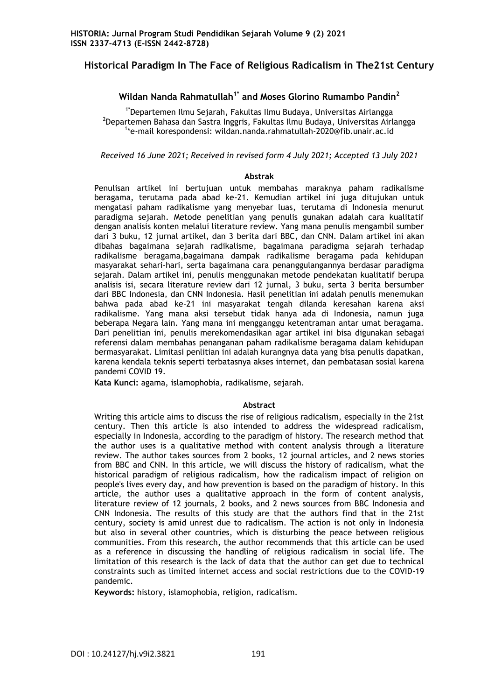## **Historical Paradigm In The Face of Religious Radicalism in The21st Century**

### **Wildan Nanda Rahmatullah1\* and Moses Glorino Rumambo Pandin<sup>2</sup>**

1\*Departemen Ilmu Sejarah, Fakultas Ilmu Budaya, Universitas Airlangga <sup>2</sup>Departemen Bahasa dan Sastra Inggris, Fakultas Ilmu Budaya, Universitas Airlangga 1 \*e-mail korespondensi: wildan.nanda.rahmatullah-2020@fib.unair.ac.id

*Received 16 June 2021; Received in revised form 4 July 2021; Accepted 13 July 2021*

#### **Abstrak**

Penulisan artikel ini bertujuan untuk membahas maraknya paham radikalisme beragama, terutama pada abad ke-21. Kemudian artikel ini juga ditujukan untuk mengatasi paham radikalisme yang menyebar luas, terutama di Indonesia menurut paradigma sejarah. Metode penelitian yang penulis gunakan adalah cara kualitatif dengan analisis konten melalui literature review. Yang mana penulis mengambil sumber dari 3 buku, 12 jurnal artikel, dan 3 berita dari BBC, dan CNN. Dalam artikel ini akan dibahas bagaimana sejarah radikalisme, bagaimana paradigma sejarah terhadap radikalisme beragama,bagaimana dampak radikalisme beragama pada kehidupan masyarakat sehari-hari, serta bagaimana cara penanggulangannya berdasar paradigma sejarah. Dalam artikel ini, penulis menggunakan metode pendekatan kualitatif berupa analisis isi, secara literature review dari 12 jurnal, 3 buku, serta 3 berita bersumber dari BBC Indonesia, dan CNN Indonesia. Hasil penelitian ini adalah penulis menemukan bahwa pada abad ke-21 ini masyarakat tengah dilanda keresahan karena aksi radikalisme. Yang mana aksi tersebut tidak hanya ada di Indonesia, namun juga beberapa Negara lain. Yang mana ini mengganggu ketentraman antar umat beragama. Dari penelitian ini, penulis merekomendasikan agar artikel ini bisa digunakan sebagai referensi dalam membahas penanganan paham radikalisme beragama dalam kehidupan bermasyarakat. Limitasi penlitian ini adalah kurangnya data yang bisa penulis dapatkan, karena kendala teknis seperti terbatasnya akses internet, dan pembatasan sosial karena pandemi COVID 19.

**Kata Kunci:** agama, islamophobia, radikalisme, sejarah.

#### **Abstract**

Writing this article aims to discuss the rise of religious radicalism, especially in the 21st century. Then this article is also intended to address the widespread radicalism, especially in Indonesia, according to the paradigm of history. The research method that the author uses is a qualitative method with content analysis through a literature review. The author takes sources from 2 books, 12 journal articles, and 2 news stories from BBC and CNN. In this article, we will discuss the history of radicalism, what the historical paradigm of religious radicalism, how the radicalism impact of religion on people's lives every day, and how prevention is based on the paradigm of history. In this article, the author uses a qualitative approach in the form of content analysis, literature review of 12 journals, 2 books, and 2 news sources from BBC Indonesia and CNN Indonesia. The results of this study are that the authors find that in the 21st century, society is amid unrest due to radicalism. The action is not only in Indonesia but also in several other countries, which is disturbing the peace between religious communities. From this research, the author recommends that this article can be used as a reference in discussing the handling of religious radicalism in social life. The limitation of this research is the lack of data that the author can get due to technical constraints such as limited internet access and social restrictions due to the COVID-19 pandemic.

**Keywords:** history, islamophobia, religion, radicalism.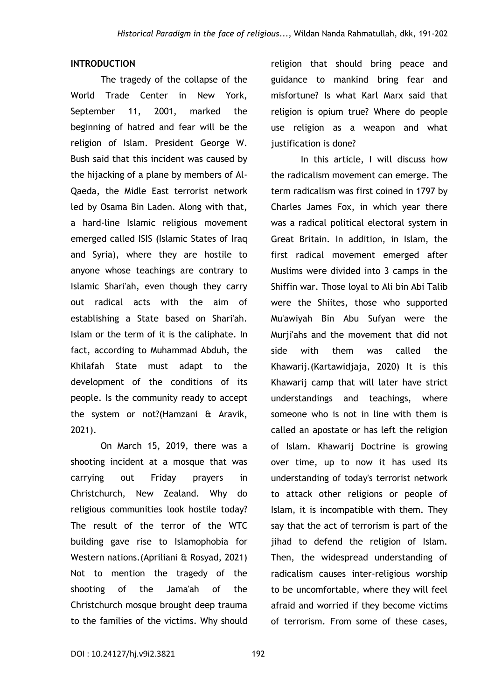## **INTRODUCTION**

The tragedy of the collapse of the World Trade Center in New York, September 11, 2001, marked the beginning of hatred and fear will be the religion of Islam. President George W. Bush said that this incident was caused by the hijacking of a plane by members of Al-Qaeda, the Midle East terrorist network led by Osama Bin Laden. Along with that, a hard-line Islamic religious movement emerged called ISIS (Islamic States of Iraq and Syria), where they are hostile to anyone whose teachings are contrary to Islamic Shari'ah, even though they carry out radical acts with the aim of establishing a State based on Shari'ah. Islam or the term of it is the caliphate. In fact, according to Muhammad Abduh, the Khilafah State must adapt to the development of the conditions of its people. Is the community ready to accept the system or not?(Hamzani & Aravik, 2021).

On March 15, 2019, there was a shooting incident at a mosque that was carrying out Friday prayers in Christchurch, New Zealand. Why do religious communities look hostile today? The result of the terror of the WTC building gave rise to Islamophobia for Western nations.(Apriliani & Rosyad, 2021) Not to mention the tragedy of the shooting of the Jama'ah of the Christchurch mosque brought deep trauma to the families of the victims. Why should

religion that should bring peace and guidance to mankind bring fear and misfortune? Is what Karl Marx said that religion is opium true? Where do people use religion as a weapon and what justification is done?

In this article, I will discuss how the radicalism movement can emerge. The term radicalism was first coined in 1797 by Charles James Fox, in which year there was a radical political electoral system in Great Britain. In addition, in Islam, the first radical movement emerged after Muslims were divided into 3 camps in the Shiffin war. Those loyal to Ali bin Abi Talib were the Shiites, those who supported Mu'awiyah Bin Abu Sufyan were the Murji'ahs and the movement that did not side with them was called the Khawarij.(Kartawidjaja, 2020) It is this Khawarij camp that will later have strict understandings and teachings, where someone who is not in line with them is called an apostate or has left the religion of Islam. Khawarij Doctrine is growing over time, up to now it has used its understanding of today's terrorist network to attack other religions or people of Islam, it is incompatible with them. They say that the act of terrorism is part of the jihad to defend the religion of Islam. Then, the widespread understanding of radicalism causes inter-religious worship to be uncomfortable, where they will feel afraid and worried if they become victims of terrorism. From some of these cases,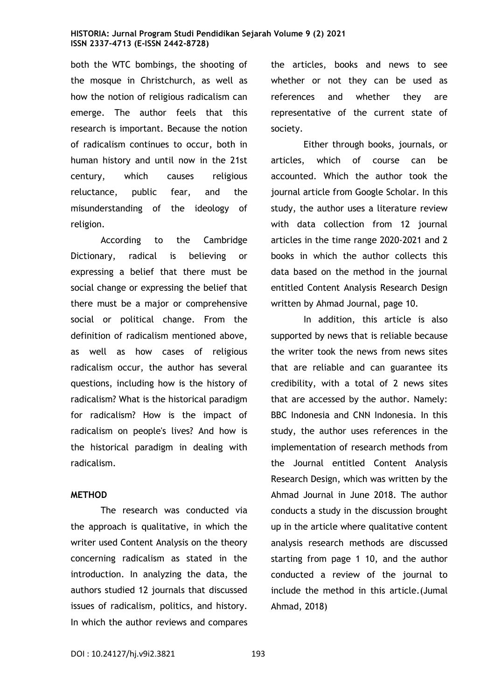both the WTC bombings, the shooting of the mosque in Christchurch, as well as how the notion of religious radicalism can emerge. The author feels that this research is important. Because the notion of radicalism continues to occur, both in human history and until now in the 21st century, which causes religious reluctance, public fear, and the misunderstanding of the ideology of religion.

According to the Cambridge Dictionary, radical is believing or expressing a belief that there must be social change or expressing the belief that there must be a major or comprehensive social or political change. From the definition of radicalism mentioned above, as well as how cases of religious radicalism occur, the author has several questions, including how is the history of radicalism? What is the historical paradigm for radicalism? How is the impact of radicalism on people's lives? And how is the historical paradigm in dealing with radicalism.

#### **METHOD**

The research was conducted via the approach is qualitative, in which the writer used Content Analysis on the theory concerning radicalism as stated in the introduction. In analyzing the data, the authors studied 12 journals that discussed issues of radicalism, politics, and history. In which the author reviews and compares the articles, books and news to see whether or not they can be used as references and whether they are representative of the current state of society.

Either through books, journals, or articles, which of course can be accounted. Which the author took the journal article from Google Scholar. In this study, the author uses a literature review with data collection from 12 journal articles in the time range 2020-2021 and 2 books in which the author collects this data based on the method in the journal entitled Content Analysis Research Design written by Ahmad Journal, page 10.

In addition, this article is also supported by news that is reliable because the writer took the news from news sites that are reliable and can guarantee its credibility, with a total of 2 news sites that are accessed by the author. Namely: BBC Indonesia and CNN Indonesia. In this study, the author uses references in the implementation of research methods from the Journal entitled Content Analysis Research Design, which was written by the Ahmad Journal in June 2018. The author conducts a study in the discussion brought up in the article where qualitative content analysis research methods are discussed starting from page 1 10, and the author conducted a review of the journal to include the method in this article.(Jumal Ahmad, 2018)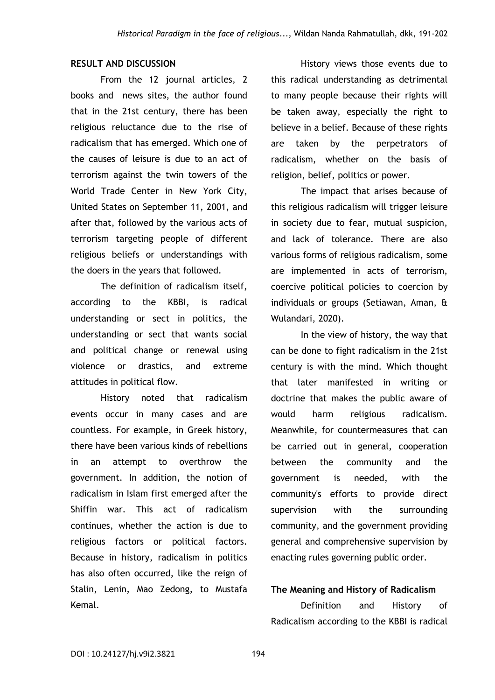## **RESULT AND DISCUSSION**

From the 12 journal articles, 2 books and news sites, the author found that in the 21st century, there has been religious reluctance due to the rise of radicalism that has emerged. Which one of the causes of leisure is due to an act of terrorism against the twin towers of the World Trade Center in New York City, United States on September 11, 2001, and after that, followed by the various acts of terrorism targeting people of different religious beliefs or understandings with the doers in the years that followed.

The definition of radicalism itself, according to the KBBI, is radical understanding or sect in politics, the understanding or sect that wants social and political change or renewal using violence or drastics, and extreme attitudes in political flow.

History noted that radicalism events occur in many cases and are countless. For example, in Greek history, there have been various kinds of rebellions in an attempt to overthrow the government. In addition, the notion of radicalism in Islam first emerged after the Shiffin war. This act of radicalism continues, whether the action is due to religious factors or political factors. Because in history, radicalism in politics has also often occurred, like the reign of Stalin, Lenin, Mao Zedong, to Mustafa Kemal.

History views those events due to this radical understanding as detrimental to many people because their rights will be taken away, especially the right to believe in a belief. Because of these rights are taken by the perpetrators of radicalism, whether on the basis of religion, belief, politics or power.

The impact that arises because of this religious radicalism will trigger leisure in society due to fear, mutual suspicion, and lack of tolerance. There are also various forms of religious radicalism, some are implemented in acts of terrorism, coercive political policies to coercion by individuals or groups (Setiawan, Aman, & Wulandari, 2020).

In the view of history, the way that can be done to fight radicalism in the 21st century is with the mind. Which thought that later manifested in writing or doctrine that makes the public aware of would harm religious radicalism. Meanwhile, for countermeasures that can be carried out in general, cooperation between the community and the government is needed, with the community's efforts to provide direct supervision with the surrounding community, and the government providing general and comprehensive supervision by enacting rules governing public order.

## **The Meaning and History of Radicalism**

Definition and History of Radicalism according to the KBBI is radical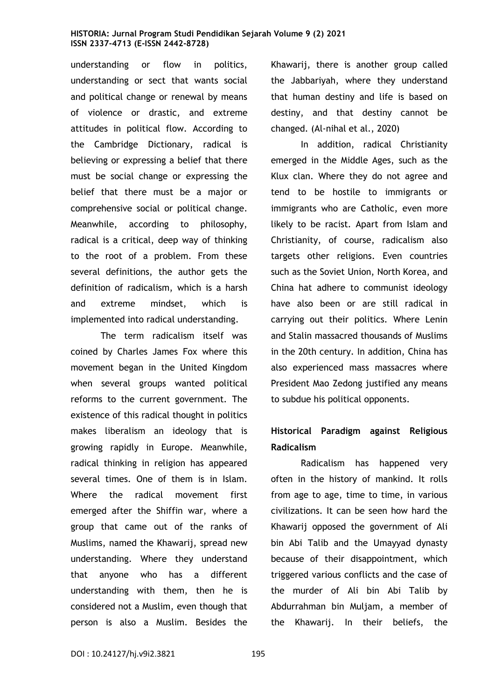understanding or flow in politics, understanding or sect that wants social and political change or renewal by means of violence or drastic, and extreme attitudes in political flow. According to the Cambridge Dictionary, radical is believing or expressing a belief that there must be social change or expressing the belief that there must be a major or comprehensive social or political change. Meanwhile, according to philosophy, radical is a critical, deep way of thinking to the root of a problem. From these several definitions, the author gets the definition of radicalism, which is a harsh and extreme mindset, which is implemented into radical understanding.

The term radicalism itself was coined by Charles James Fox where this movement began in the United Kingdom when several groups wanted political reforms to the current government. The existence of this radical thought in politics makes liberalism an ideology that is growing rapidly in Europe. Meanwhile, radical thinking in religion has appeared several times. One of them is in Islam. Where the radical movement first emerged after the Shiffin war, where a group that came out of the ranks of Muslims, named the Khawarij, spread new understanding. Where they understand that anyone who has a different understanding with them, then he is considered not a Muslim, even though that person is also a Muslim. Besides the Khawarij, there is another group called the Jabbariyah, where they understand that human destiny and life is based on destiny, and that destiny cannot be changed. (Al-nihal et al., 2020)

In addition, radical Christianity emerged in the Middle Ages, such as the Klux clan. Where they do not agree and tend to be hostile to immigrants or immigrants who are Catholic, even more likely to be racist. Apart from Islam and Christianity, of course, radicalism also targets other religions. Even countries such as the Soviet Union, North Korea, and China hat adhere to communist ideology have also been or are still radical in carrying out their politics. Where Lenin and Stalin massacred thousands of Muslims in the 20th century. In addition, China has also experienced mass massacres where President Mao Zedong justified any means to subdue his political opponents.

# **Historical Paradigm against Religious Radicalism**

Radicalism has happened very often in the history of mankind. It rolls from age to age, time to time, in various civilizations. It can be seen how hard the Khawarij opposed the government of Ali bin Abi Talib and the Umayyad dynasty because of their disappointment, which triggered various conflicts and the case of the murder of Ali bin Abi Talib by Abdurrahman bin Muljam, a member of the Khawarij. In their beliefs, the

DOI: 10.24127/hj.v9i2.3821 195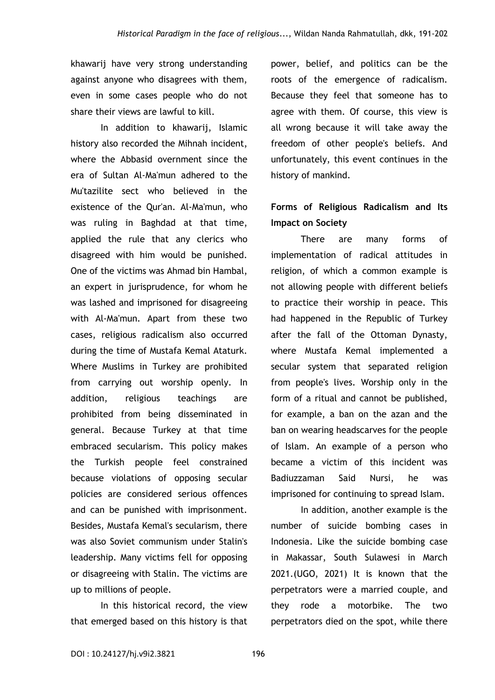khawarij have very strong understanding against anyone who disagrees with them, even in some cases people who do not share their views are lawful to kill.

In addition to khawarij, Islamic history also recorded the Mihnah incident, where the Abbasid overnment since the era of Sultan Al-Ma'mun adhered to the Mu'tazilite sect who believed in the existence of the Qur'an. Al-Ma'mun, who was ruling in Baghdad at that time, applied the rule that any clerics who disagreed with him would be punished. One of the victims was Ahmad bin Hambal, an expert in jurisprudence, for whom he was lashed and imprisoned for disagreeing with Al-Ma'mun. Apart from these two cases, religious radicalism also occurred during the time of Mustafa Kemal Ataturk. Where Muslims in Turkey are prohibited from carrying out worship openly. In addition, religious teachings are prohibited from being disseminated in general. Because Turkey at that time embraced secularism. This policy makes the Turkish people feel constrained because violations of opposing secular policies are considered serious offences and can be punished with imprisonment. Besides, Mustafa Kemal's secularism, there was also Soviet communism under Stalin's leadership. Many victims fell for opposing or disagreeing with Stalin. The victims are up to millions of people.

In this historical record, the view that emerged based on this history is that power, belief, and politics can be the roots of the emergence of radicalism. Because they feel that someone has to agree with them. Of course, this view is all wrong because it will take away the freedom of other people's beliefs. And unfortunately, this event continues in the history of mankind.

## **Forms of Religious Radicalism and Its Impact on Society**

There are many forms of implementation of radical attitudes in religion, of which a common example is not allowing people with different beliefs to practice their worship in peace. This had happened in the Republic of Turkey after the fall of the Ottoman Dynasty, where Mustafa Kemal implemented a secular system that separated religion from people's lives. Worship only in the form of a ritual and cannot be published, for example, a ban on the azan and the ban on wearing headscarves for the people of Islam. An example of a person who became a victim of this incident was Badiuzzaman Said Nursi, he was imprisoned for continuing to spread Islam.

In addition, another example is the number of suicide bombing cases in Indonesia. Like the suicide bombing case in Makassar, South Sulawesi in March 2021.(UGO, 2021) It is known that the perpetrators were a married couple, and they rode a motorbike. The two perpetrators died on the spot, while there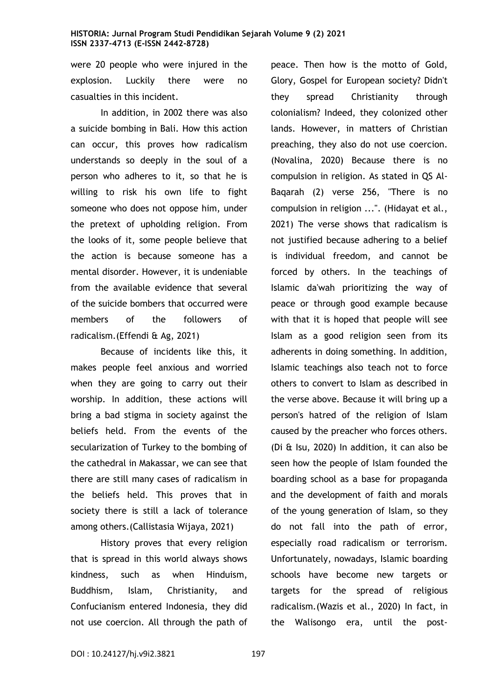were 20 people who were injured in the explosion. Luckily there were no casualties in this incident.

In addition, in 2002 there was also a suicide bombing in Bali. How this action can occur, this proves how radicalism understands so deeply in the soul of a person who adheres to it, so that he is willing to risk his own life to fight someone who does not oppose him, under the pretext of upholding religion. From the looks of it, some people believe that the action is because someone has a mental disorder. However, it is undeniable from the available evidence that several of the suicide bombers that occurred were members of the followers of radicalism.(Effendi & Ag, 2021)

Because of incidents like this, it makes people feel anxious and worried when they are going to carry out their worship. In addition, these actions will bring a bad stigma in society against the beliefs held. From the events of the secularization of Turkey to the bombing of the cathedral in Makassar, we can see that there are still many cases of radicalism in the beliefs held. This proves that in society there is still a lack of tolerance among others.(Callistasia Wijaya, 2021)

History proves that every religion that is spread in this world always shows kindness, such as when Hinduism, Buddhism, Islam, Christianity, and Confucianism entered Indonesia, they did not use coercion. All through the path of peace. Then how is the motto of Gold, Glory, Gospel for European society? Didn't they spread Christianity through colonialism? Indeed, they colonized other lands. However, in matters of Christian preaching, they also do not use coercion. (Novalina, 2020) Because there is no compulsion in religion. As stated in QS Al-Baqarah (2) verse 256, "There is no compulsion in religion ...". (Hidayat et al., 2021) The verse shows that radicalism is not justified because adhering to a belief is individual freedom, and cannot be forced by others. In the teachings of Islamic da'wah prioritizing the way of peace or through good example because with that it is hoped that people will see Islam as a good religion seen from its adherents in doing something. In addition, Islamic teachings also teach not to force others to convert to Islam as described in the verse above. Because it will bring up a person's hatred of the religion of Islam caused by the preacher who forces others. (Di & Isu, 2020) In addition, it can also be seen how the people of Islam founded the boarding school as a base for propaganda and the development of faith and morals of the young generation of Islam, so they do not fall into the path of error, especially road radicalism or terrorism. Unfortunately, nowadays, Islamic boarding schools have become new targets or targets for the spread of religious radicalism.(Wazis et al., 2020) In fact, in the Walisongo era, until the post-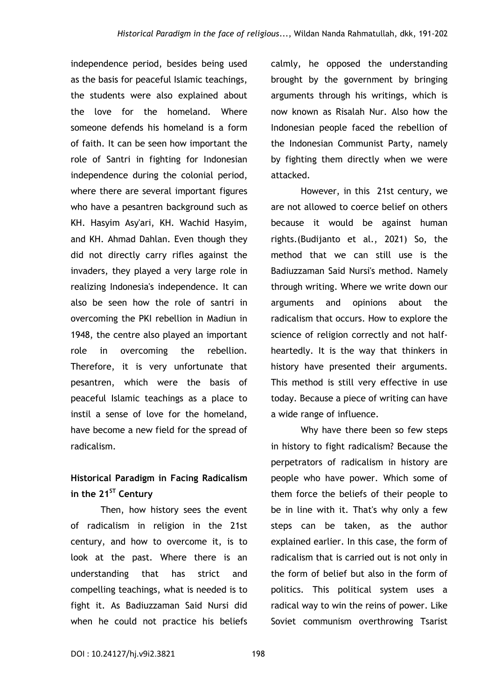independence period, besides being used as the basis for peaceful Islamic teachings, the students were also explained about the love for the homeland. Where someone defends his homeland is a form of faith. It can be seen how important the role of Santri in fighting for Indonesian independence during the colonial period, where there are several important figures who have a pesantren background such as KH. Hasyim Asy'ari, KH. Wachid Hasyim, and KH. Ahmad Dahlan. Even though they did not directly carry rifles against the invaders, they played a very large role in realizing Indonesia's independence. It can also be seen how the role of santri in overcoming the PKI rebellion in Madiun in 1948, the centre also played an important role in overcoming the rebellion. Therefore, it is very unfortunate that pesantren, which were the basis of peaceful Islamic teachings as a place to instil a sense of love for the homeland, have become a new field for the spread of radicalism.

# **Historical Paradigm in Facing Radicalism in the 21ST Century**

Then, how history sees the event of radicalism in religion in the 21st century, and how to overcome it, is to look at the past. Where there is an understanding that has strict and compelling teachings, what is needed is to fight it. As Badiuzzaman Said Nursi did when he could not practice his beliefs

calmly, he opposed the understanding brought by the government by bringing arguments through his writings, which is now known as Risalah Nur. Also how the Indonesian people faced the rebellion of the Indonesian Communist Party, namely by fighting them directly when we were attacked.

However, in this 21st century, we are not allowed to coerce belief on others because it would be against human rights.(Budijanto et al., 2021) So, the method that we can still use is the Badiuzzaman Said Nursi's method. Namely through writing. Where we write down our arguments and opinions about the radicalism that occurs. How to explore the science of religion correctly and not halfheartedly. It is the way that thinkers in history have presented their arguments. This method is still very effective in use today. Because a piece of writing can have a wide range of influence.

Why have there been so few steps in history to fight radicalism? Because the perpetrators of radicalism in history are people who have power. Which some of them force the beliefs of their people to be in line with it. That's why only a few steps can be taken, as the author explained earlier. In this case, the form of radicalism that is carried out is not only in the form of belief but also in the form of politics. This political system uses a radical way to win the reins of power. Like Soviet communism overthrowing Tsarist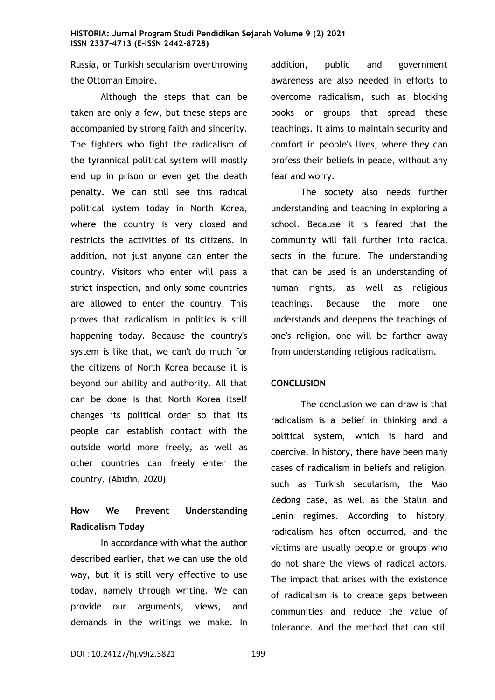Russia, or Turkish secularism overthrowing the Ottoman Empire.

Although the steps that can be taken are only a few, but these steps are accompanied by strong faith and sincerity. The fighters who fight the radicalism of the tyrannical political system will mostly end up in prison or even get the death penalty. We can still see this radical political system today in North Korea, where the country is very closed and restricts the activities of its citizens. In addition, not just anyone can enter the country. Visitors who enter will pass a strict inspection, and only some countries are allowed to enter the country. This proves that radicalism in politics is still happening today. Because the country's system is like that, we can't do much for the citizens of North Korea because it is beyond our ability and authority. All that can be done is that North Korea itself changes its political order so that its people can establish contact with the outside world more freely, as well as other countries can freely enter the country. (Abidin, 2020)

## **How We Prevent Understanding Radicalism Today**

In accordance with what the author described earlier, that we can use the old way, but it is still very effective to use today, namely through writing. We can provide our arguments, views, and demands in the writings we make. In

addition, public and government awareness are also needed in efforts to overcome radicalism, such as blocking books or groups that spread these teachings. It aims to maintain security and comfort in people's lives, where they can profess their beliefs in peace, without any fear and worry.

The society also needs further understanding and teaching in exploring a school. Because it is feared that the community will fall further into radical sects in the future. The understanding that can be used is an understanding of human rights, as well as religious teachings. Because the more one understands and deepens the teachings of one's religion, one will be farther away from understanding religious radicalism.

#### **CONCLUSION**

The conclusion we can draw is that radicalism is a belief in thinking and a political system, which is hard and coercive. In history, there have been many cases of radicalism in beliefs and religion, such as Turkish secularism, the Mao Zedong case, as well as the Stalin and Lenin regimes. According to history, radicalism has often occurred, and the victims are usually people or groups who do not share the views of radical actors. The impact that arises with the existence of radicalism is to create gaps between communities and reduce the value of tolerance. And the method that can still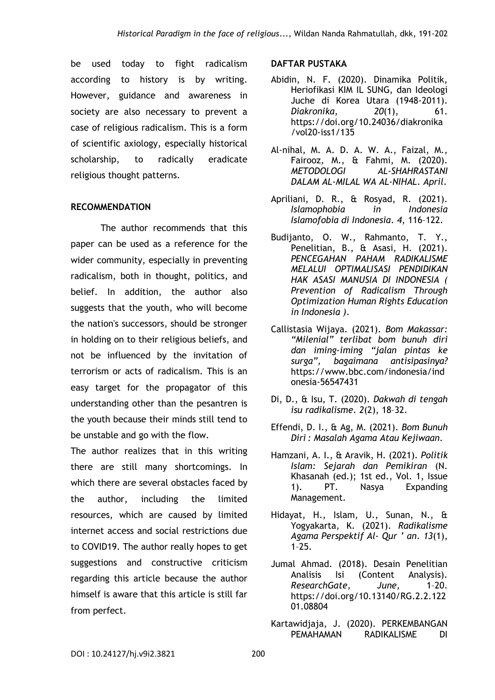be used today to fight radicalism according to history is by writing. However, guidance and awareness in society are also necessary to prevent a case of religious radicalism. This is a form of scientific axiology, especially historical scholarship, to radically eradicate religious thought patterns.

## **RECOMMENDATION**

The author recommends that this paper can be used as a reference for the wider community, especially in preventing radicalism, both in thought, politics, and belief. In addition, the author also suggests that the youth, who will become the nation's successors, should be stronger in holding on to their religious beliefs, and not be influenced by the invitation of terrorism or acts of radicalism. This is an easy target for the propagator of this understanding other than the pesantren is the youth because their minds still tend to be unstable and go with the flow.

The author realizes that in this writing there are still many shortcomings. In which there are several obstacles faced by the author, including the limited resources, which are caused by limited internet access and social restrictions due to COVID19. The author really hopes to get suggestions and constructive criticism regarding this article because the author himself is aware that this article is still far from perfect.

### **DAFTAR PUSTAKA**

- Abidin, N. F. (2020). Dinamika Politik, Heriofikasi KIM IL SUNG, dan Ideologi Juche di Korea Utara (1948-2011). *Diakronika*, *20*(1), 61. https://doi.org/10.24036/diakronika /vol20-iss1/135
- Al-nihal, M. A. D. A. W. A., Faizal, M., Fairooz, M., & Fahmi, M. (2020). *METODOLOGI AL-SHAHRASTANI DALAM AL-MILAL WA AL-NIHAL*. *April*.
- Apriliani, D. R., & Rosyad, R. (2021). *Islamophobia in Indonesia Islamofobia di Indonesia*. *4*, 116–122.
- Budijanto, O. W., Rahmanto, T. Y., Penelitian, B., & Asasi, H. (2021). *PENCEGAHAN PAHAM RADIKALISME MELALUI OPTIMALISASI PENDIDIKAN HAK ASASI MANUSIA DI INDONESIA ( Prevention of Radicalism Through Optimization Human Rights Education in Indonesia )*.
- Callistasia Wijaya. (2021). *Bom Makassar: "Milenial" terlibat bom bunuh diri dan iming-iming "jalan pintas ke surga", bagaimana antisipasinya?* https://www.bbc.com/indonesia/ind onesia-56547431
- Di, D., & Isu, T. (2020). *Dakwah di tengah isu radikalisme*. *2*(2), 18–32.
- Effendi, D. I., & Ag, M. (2021). *Bom Bunuh Diri : Masalah Agama Atau Kejiwaan*.
- Hamzani, A. I., & Aravik, H. (2021). *Politik Islam: Sejarah dan Pemikiran* (N. Khasanah (ed.); 1st ed., Vol. 1, Issue 1). PT. Nasya Expanding Management.
- Hidayat, H., Islam, U., Sunan, N., & Yogyakarta, K. (2021). *Radikalisme Agama Perspektif Al- Qur ' an*. *13*(1), 1–25.
- Jumal Ahmad. (2018). Desain Penelitian Analisis Isi (Content Analysis). *ResearchGate*, *June*, 1–20. https://doi.org/10.13140/RG.2.2.122 01.08804
- Kartawidjaja, J. (2020). PERKEMBANGAN PEMAHAMAN RADIKALISME DI